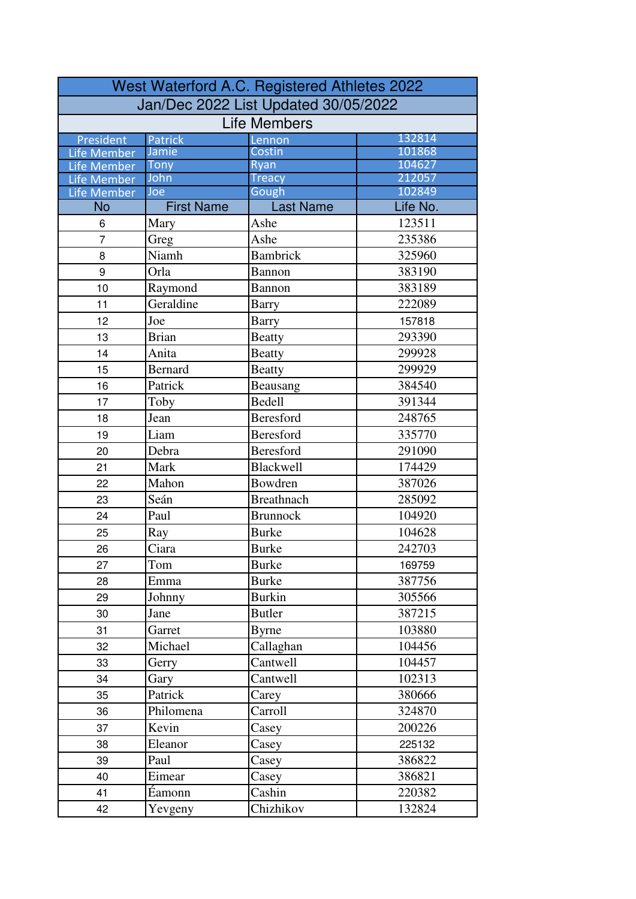|                          |                   | West Waterford A.C. Registered Athletes 2022 |                  |
|--------------------------|-------------------|----------------------------------------------|------------------|
|                          |                   | Jan/Dec 2022 List Updated 30/05/2022         |                  |
|                          |                   | <b>Life Members</b>                          |                  |
| President                | Patrick           | Lennon                                       | 132814           |
| Life Member              | Jamie             | Costin                                       | 101868           |
| Life Member              | <b>Tony</b>       | Ryan                                         | 104627           |
| <b>Life Member</b>       | John<br>Joe       | <b>Treacy</b><br>Gough                       | 212057<br>102849 |
| Life Member<br><b>No</b> | <b>First Name</b> | <b>Last Name</b>                             | Life No.         |
| 6                        | Mary              | Ashe                                         | 123511           |
| $\overline{7}$           | Greg              | Ashe                                         | 235386           |
| 8                        | Niamh             | <b>Bambrick</b>                              | 325960           |
| 9                        | Orla              | Bannon                                       | 383190           |
| 10                       | Raymond           | Bannon                                       | 383189           |
| 11                       | Geraldine         | Barry                                        | 222089           |
| 12                       | Joe               | <b>Barry</b>                                 | 157818           |
| 13                       | <b>Brian</b>      | <b>Beatty</b>                                | 293390           |
| 14                       | Anita             | <b>Beatty</b>                                | 299928           |
| 15                       | <b>Bernard</b>    | <b>Beatty</b>                                | 299929           |
| 16                       | Patrick           | Beausang                                     | 384540           |
| 17                       | Toby              | <b>Bedell</b>                                | 391344           |
| 18                       | Jean              | <b>Beresford</b>                             | 248765           |
| 19                       | Liam              | Beresford                                    | 335770           |
| 20                       | Debra             | <b>Beresford</b>                             | 291090           |
| 21                       | Mark              | <b>Blackwell</b>                             | 174429           |
| 22                       | Mahon             | Bowdren                                      | 387026           |
| 23                       | Seán              | <b>Breathnach</b>                            | 285092           |
| 24                       | Paul              | <b>Brunnock</b>                              | 104920           |
| 25                       | Ray               | <b>Burke</b>                                 | 104628           |
| 26                       | Ciara             | <b>Burke</b>                                 | 242703           |
| 27                       | Tom               | Burke                                        | 169759           |
| 28                       | Emma              | <b>Burke</b>                                 | 387756           |
| 29                       | Johnny            | <b>Burkin</b>                                | 305566           |
| 30                       | Jane              | <b>Butler</b>                                | 387215           |
| 31                       | Garret            | <b>Byrne</b>                                 | 103880           |
| 32                       | Michael           | Callaghan                                    | 104456           |
| 33                       | Gerry             | Cantwell                                     | 104457           |
| 34                       | Gary              | Cantwell                                     | 102313           |
| 35                       | Patrick           | Carey                                        | 380666           |
| 36                       | Philomena         | Carroll                                      | 324870           |
| 37                       | Kevin             | Casey                                        | 200226           |
| 38                       | Eleanor           | Casey                                        | 225132           |
| 39                       | Paul              | Casey                                        | 386822           |
| 40                       | Eimear            | Casey                                        | 386821           |
| 41                       | Éamonn            | Cashin                                       | 220382           |
| 42                       | Yevgeny           | Chizhikov                                    | 132824           |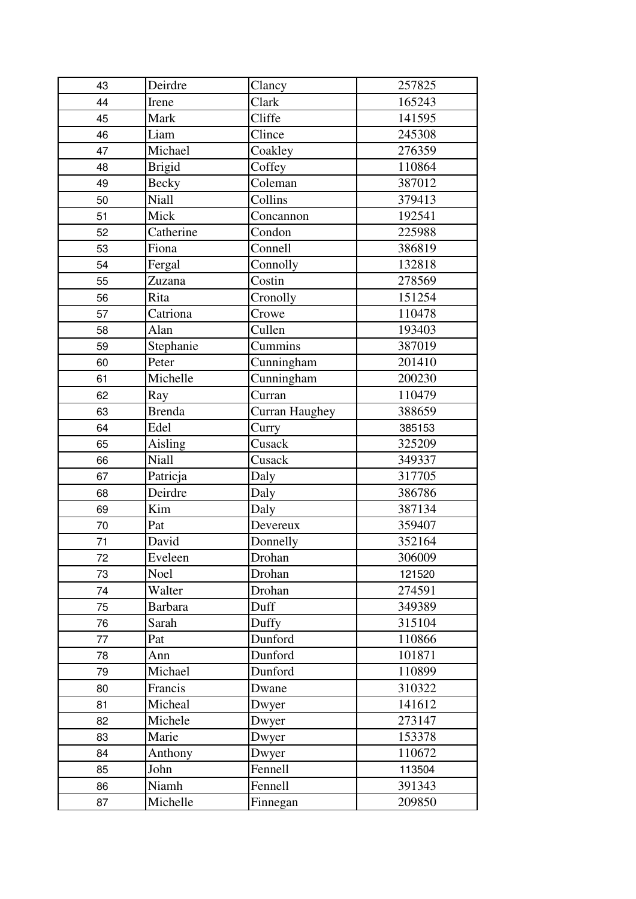| 43 | Deirdre        | Clancy         | 257825 |
|----|----------------|----------------|--------|
| 44 | Irene          | Clark          | 165243 |
| 45 | Mark           | Cliffe         | 141595 |
| 46 | Liam           | Clince         | 245308 |
| 47 | Michael        | Coakley        | 276359 |
| 48 | <b>Brigid</b>  | Coffey         | 110864 |
| 49 | Becky          | Coleman        | 387012 |
| 50 | <b>Niall</b>   | Collins        | 379413 |
| 51 | Mick           | Concannon      | 192541 |
| 52 | Catherine      | Condon         | 225988 |
| 53 | Fiona          | Connell        | 386819 |
| 54 | Fergal         | Connolly       | 132818 |
| 55 | Zuzana         | Costin         | 278569 |
| 56 | Rita           | Cronolly       | 151254 |
| 57 | Catriona       | Crowe          | 110478 |
| 58 | Alan           | Cullen         | 193403 |
| 59 | Stephanie      | Cummins        | 387019 |
| 60 | Peter          | Cunningham     | 201410 |
| 61 | Michelle       | Cunningham     | 200230 |
| 62 | Ray            | Curran         | 110479 |
| 63 | <b>Brenda</b>  | Curran Haughey | 388659 |
| 64 | Edel           | Curry          | 385153 |
| 65 | Aisling        | Cusack         | 325209 |
| 66 | Niall          | Cusack         | 349337 |
| 67 | Patricja       | Daly           | 317705 |
| 68 | Deirdre        | Daly           | 386786 |
| 69 | Kim            | Daly           | 387134 |
| 70 | Pat            | Devereux       | 359407 |
| 71 | David          | Donnelly       | 352164 |
| 72 | Eveleen        | Drohan         | 306009 |
| 73 | Noel           | Drohan         | 121520 |
| 74 | Walter         | Drohan         | 274591 |
| 75 | <b>Barbara</b> | Duff           | 349389 |
| 76 | Sarah          | Duffy          | 315104 |
| 77 | Pat            | Dunford        | 110866 |
| 78 | Ann            | Dunford        | 101871 |
| 79 | Michael        | Dunford        | 110899 |
| 80 | Francis        | Dwane          | 310322 |
| 81 | Micheal        | Dwyer          | 141612 |
| 82 | Michele        | Dwyer          | 273147 |
| 83 | Marie          | Dwyer          | 153378 |
| 84 | Anthony        | Dwyer          | 110672 |
| 85 | John           | Fennell        | 113504 |
| 86 | Niamh          | Fennell        | 391343 |
| 87 | Michelle       | Finnegan       | 209850 |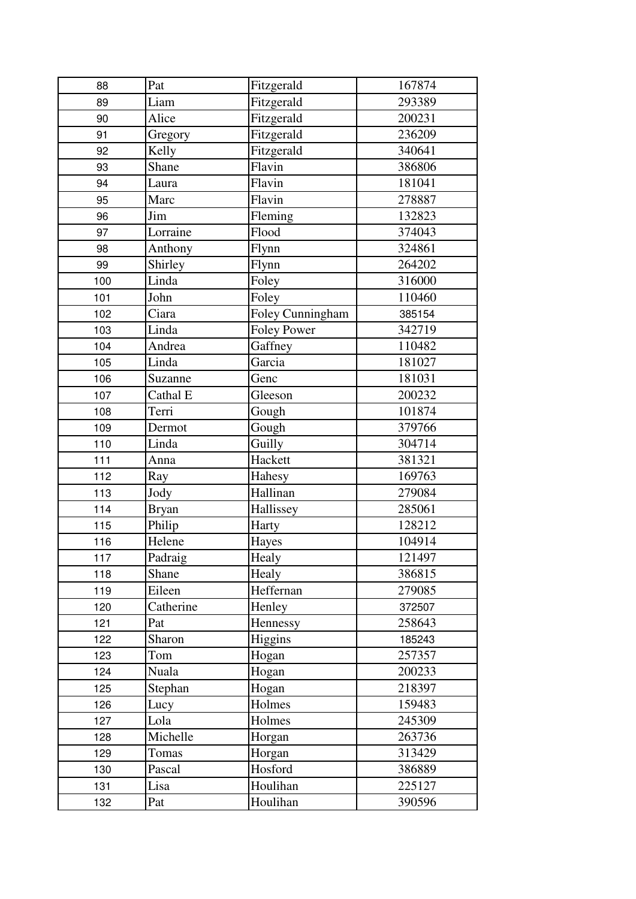| 88  | Pat          | Fitzgerald         | 167874 |
|-----|--------------|--------------------|--------|
| 89  | Liam         | Fitzgerald         | 293389 |
| 90  | Alice        | Fitzgerald         | 200231 |
| 91  | Gregory      | Fitzgerald         | 236209 |
| 92  | Kelly        | Fitzgerald         | 340641 |
| 93  | Shane        | Flavin             | 386806 |
| 94  | Laura        | Flavin             | 181041 |
| 95  | Marc         | Flavin             | 278887 |
| 96  | Jim          | Fleming            | 132823 |
| 97  | Lorraine     | Flood              | 374043 |
| 98  | Anthony      | Flynn              | 324861 |
| 99  | Shirley      | Flynn              | 264202 |
| 100 | Linda        | Foley              | 316000 |
| 101 | John         | Foley              | 110460 |
| 102 | Ciara        | Foley Cunningham   | 385154 |
| 103 | Linda        | <b>Foley Power</b> | 342719 |
| 104 | Andrea       | Gaffney            | 110482 |
| 105 | Linda        | Garcia             | 181027 |
| 106 | Suzanne      | Genc               | 181031 |
| 107 | Cathal E     | Gleeson            | 200232 |
| 108 | Terri        | Gough              | 101874 |
| 109 | Dermot       | Gough              | 379766 |
| 110 | Linda        | Guilly             | 304714 |
| 111 | Anna         | Hackett            | 381321 |
| 112 | Ray          | Hahesy             | 169763 |
| 113 | Jody         | Hallinan           | 279084 |
| 114 | <b>Bryan</b> | Hallissey          | 285061 |
| 115 | Philip       | Harty              | 128212 |
| 116 | Helene       | Hayes              | 104914 |
| 117 | Padraig      | Healy              | 121497 |
| 118 | Shane        | Healy              | 386815 |
| 119 | Eileen       | Heffernan          | 279085 |
| 120 | Catherine    | Henley             | 372507 |
| 121 | Pat          | Hennessy           | 258643 |
| 122 | Sharon       | Higgins            | 185243 |
| 123 | Tom          | Hogan              | 257357 |
| 124 | Nuala        | Hogan              | 200233 |
| 125 | Stephan      | Hogan              | 218397 |
| 126 | Lucy         | Holmes             | 159483 |
| 127 | Lola         | Holmes             | 245309 |
| 128 | Michelle     | Horgan             | 263736 |
| 129 | Tomas        | Horgan             | 313429 |
| 130 | Pascal       | Hosford            | 386889 |
| 131 | Lisa         | Houlihan           | 225127 |
| 132 | Pat          | Houlihan           | 390596 |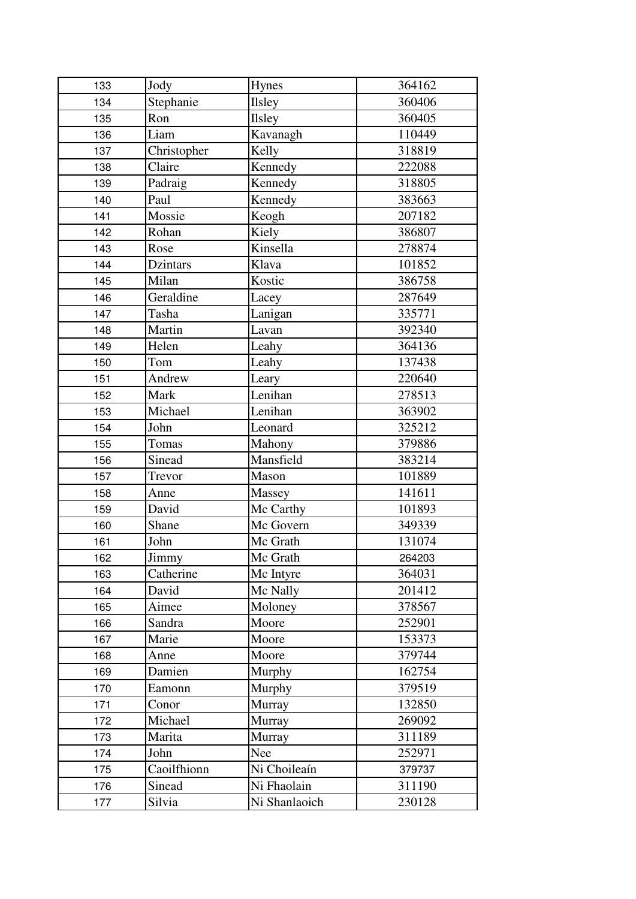| 133 | Jody                      | Hynes         | 364162 |
|-----|---------------------------|---------------|--------|
| 134 | Stephanie                 | <b>Ilsley</b> | 360406 |
| 135 | Ron                       | <b>Ilsley</b> | 360405 |
| 136 | Liam                      | Kavanagh      | 110449 |
| 137 | Christopher               | Kelly         | 318819 |
| 138 | Claire                    | Kennedy       | 222088 |
| 139 | Padraig                   | Kennedy       | 318805 |
| 140 | Paul                      | Kennedy       | 383663 |
| 141 | Mossie                    | Keogh         | 207182 |
| 142 | Rohan                     | Kiely         | 386807 |
| 143 | Rose                      | Kinsella      | 278874 |
| 144 | Dzintars                  | Klava         | 101852 |
| 145 | Milan                     | Kostic        | 386758 |
| 146 | Geraldine                 | Lacey         | 287649 |
| 147 | Tasha                     | Lanigan       | 335771 |
| 148 | Martin                    | Lavan         | 392340 |
| 149 | Helen                     | Leahy         | 364136 |
| 150 | Tom                       | Leahy         | 137438 |
| 151 | Andrew                    | Leary         | 220640 |
| 152 | Mark                      | Lenihan       | 278513 |
| 153 | Michael                   | Lenihan       | 363902 |
| 154 | John                      | Leonard       | 325212 |
| 155 | Tomas                     | Mahony        | 379886 |
| 156 | Sinead                    | Mansfield     | 383214 |
| 157 | Trevor                    | Mason         | 101889 |
| 158 | Anne                      | Massey        | 141611 |
| 159 | David                     | Mc Carthy     | 101893 |
| 160 | Shane                     | Mc Govern     | 349339 |
| 161 | John                      | Mc Grath      | 131074 |
| 162 | $\overline{\text{Jimmy}}$ | Mc Grath      | 264203 |
| 163 | Catherine                 | Mc Intyre     | 364031 |
| 164 | David                     | Mc Nally      | 201412 |
| 165 | Aimee                     | Moloney       | 378567 |
| 166 | Sandra                    | Moore         | 252901 |
| 167 | Marie                     | Moore         | 153373 |
| 168 | Anne                      | Moore         | 379744 |
| 169 | Damien                    | Murphy        | 162754 |
| 170 | Eamonn                    | Murphy        | 379519 |
| 171 | Conor                     | Murray        | 132850 |
| 172 | Michael                   | Murray        | 269092 |
| 173 | Marita                    | Murray        | 311189 |
| 174 | John                      | Nee           | 252971 |
| 175 | Caoilfhionn               | Ni Choileaín  | 379737 |
| 176 | Sinead                    | Ni Fhaolain   | 311190 |
| 177 | Silvia                    | Ni Shanlaoich | 230128 |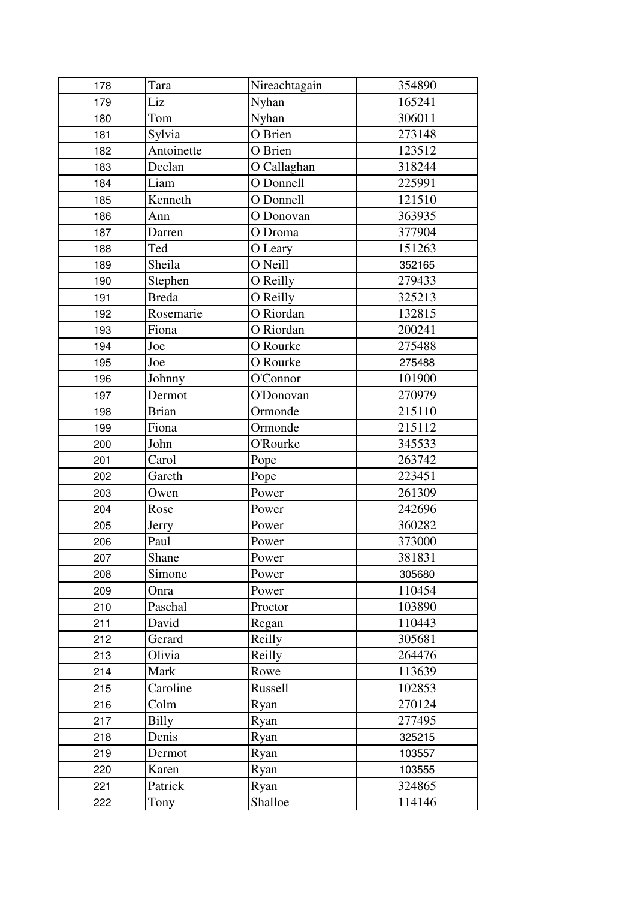| 178 | Tara         | Nireachtagain    | 354890 |
|-----|--------------|------------------|--------|
| 179 | Liz          | Nyhan            | 165241 |
| 180 | Tom          | Nyhan            | 306011 |
| 181 | Sylvia       | O Brien          | 273148 |
| 182 | Antoinette   | O Brien          | 123512 |
| 183 | Declan       | O Callaghan      | 318244 |
| 184 | Liam         | O Donnell        | 225991 |
| 185 | Kenneth      | O Donnell        | 121510 |
| 186 | Ann          | O Donovan        | 363935 |
| 187 | Darren       | O Droma          | 377904 |
| 188 | Ted          | O Leary          | 151263 |
| 189 | Sheila       | O Neill          | 352165 |
| 190 | Stephen      | O Reilly         | 279433 |
| 191 | <b>Breda</b> | O Reilly         | 325213 |
| 192 | Rosemarie    | O Riordan        | 132815 |
| 193 | Fiona        | O Riordan        | 200241 |
| 194 | Joe          | O Rourke         | 275488 |
| 195 | Joe          | O Rourke         | 275488 |
| 196 | Johnny       | O'Connor         | 101900 |
| 197 | Dermot       | <b>O'Donovan</b> | 270979 |
| 198 | <b>Brian</b> | Ormonde          | 215110 |
| 199 | Fiona        | Ormonde          | 215112 |
| 200 | John         | <b>O'Rourke</b>  | 345533 |
| 201 | Carol        | Pope             | 263742 |
| 202 | Gareth       | Pope             | 223451 |
| 203 | Owen         | Power            | 261309 |
| 204 | Rose         | Power            | 242696 |
| 205 | Jerry        | Power            | 360282 |
| 206 | Paul         | Power            | 373000 |
| 207 | Shane        | Power            | 381831 |
| 208 | Simone       | Power            | 305680 |
| 209 | Onra         | Power            | 110454 |
| 210 | Paschal      | Proctor          | 103890 |
| 211 | David        | Regan            | 110443 |
| 212 | Gerard       | Reilly           | 305681 |
| 213 | Olivia       | Reilly           | 264476 |
| 214 | Mark         | Rowe             | 113639 |
| 215 | Caroline     | Russell          | 102853 |
| 216 | Colm         | Ryan             | 270124 |
| 217 | Billy        | Ryan             | 277495 |
| 218 | Denis        | Ryan             | 325215 |
| 219 | Dermot       | Ryan             | 103557 |
| 220 | Karen        | Ryan             | 103555 |
| 221 | Patrick      | Ryan             | 324865 |
| 222 | Tony         | Shalloe          | 114146 |